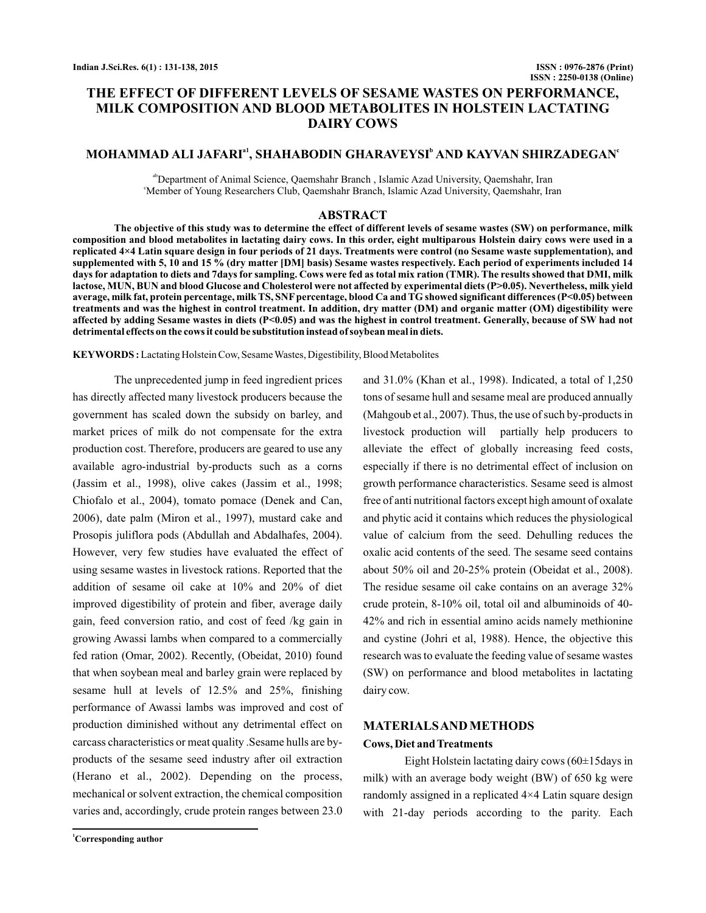# **THE EFFECT OF DIFFERENT LEVELS OF SESAME WASTES ON PERFORMANCE, MILK COMPOSITION AND BLOOD METABOLITES IN HOLSTEIN LACTATING DAIRY COWS**

## **MOHAMMAD ALI JAFARI , SHAHABODIN GHARAVEYSI AND KAYVAN SHIRZADEGAN a1 <sup>b</sup> <sup>c</sup>**

ab Department of Animal Science, Qaemshahr Branch , Islamic Azad University, Qaemshahr, Iran c Member of Young Researchers Club, Qaemshahr Branch, Islamic Azad University, Qaemshahr, Iran

#### **ABSTRACT**

**The objective of this study was to determine the effect of different levels of sesame wastes (SW) on performance, milk composition and blood metabolites in lactating dairy cows. In this order, eight multiparous Holstein dairy cows were used in a replicated 4×4 Latin square design in four periods of 21 days. Treatments were control (no Sesame waste supplementation), and supplemented with 5, 10 and 15 % (dry matter [DM] basis) Sesame wastes respectively. Each period of experiments included 14 days for adaptation to diets and 7days for sampling. Cows were fed as total mix ration (TMR). The results showed that DMI, milk lactose, MUN, BUN and blood Glucose and Cholesterol were not affected by experimental diets (P>0.05). Nevertheless, milk yield average, milk fat, protein percentage, milk TS, SNF percentage, blood Ca and TG showed significant differences (P<0.05) between treatments and was the highest in control treatment. In addition, dry matter (DM) and organic matter (OM) digestibility were affected by adding Sesame wastes in diets (P<0.05) and was the highest in control treatment. Generally, because of SW had not detrimental effects on the cows it could be substitution instead of soybean meal in diets.**

Lactating Holstein Cow, SesameWastes, Digestibility, Blood Metabolites **KEYWORDS :**

The unprecedented jump in feed ingredient prices has directly affected many livestock producers because the government has scaled down the subsidy on barley, and market prices of milk do not compensate for the extra production cost. Therefore, producers are geared to use any available agro-industrial by-products such as a corns (Jassim et al., 1998), olive cakes (Jassim et al., 1998; Chiofalo et al., 2004), tomato pomace (Denek and Can, 2006), date palm (Miron et al., 1997), mustard cake and Prosopis juliflora pods (Abdullah and Abdalhafes, 2004). However, very few studies have evaluated the effect of using sesame wastes in livestock rations. Reported that the addition of sesame oil cake at 10% and 20% of diet improved digestibility of protein and fiber, average daily gain, feed conversion ratio, and cost of feed /kg gain in growing Awassi lambs when compared to a commercially fed ration (Omar, 2002). Recently, (Obeidat, 2010) found that when soybean meal and barley grain were replaced by sesame hull at levels of 12.5% and 25%, finishing performance of Awassi lambs was improved and cost of production diminished without any detrimental effect on carcass characteristics or meat quality .Sesame hulls are byproducts of the sesame seed industry after oil extraction (Herano et al., 2002). Depending on the process, mechanical or solvent extraction, the chemical composition varies and, accordingly, crude protein ranges between 23.0

**<sup>1</sup>Corresponding author**

and 31.0% (Khan et al., 1998). Indicated, a total of 1,250 tons of sesame hull and sesame meal are produced annually (Mahgoub et al., 2007). Thus, the use of such by-products in livestock production will partially help producers to alleviate the effect of globally increasing feed costs, especially if there is no detrimental effect of inclusion on growth performance characteristics. Sesame seed is almost free of anti nutritional factors except high amount of oxalate and phytic acid it contains which reduces the physiological value of calcium from the seed. Dehulling reduces the oxalic acid contents of the seed. The sesame seed contains about 50% oil and 20-25% protein (Obeidat et al., 2008). The residue sesame oil cake contains on an average 32% crude protein, 8-10% oil, total oil and albuminoids of 40- 42% and rich in essential amino acids namely methionine and cystine (Johri et al, 1988). Hence, the objective this research was to evaluate the feeding value of sesame wastes (SW) on performance and blood metabolites in lactating dairy cow.

#### **MATERIALSANDMETHODS**

#### **Cows, Diet andTreatments**

Eight Holstein lactating dairy cows  $(60\pm15)$  days in milk) with an average body weight (BW) of 650 kg were randomly assigned in a replicated 4×4 Latin square design with 21-day periods according to the parity. Each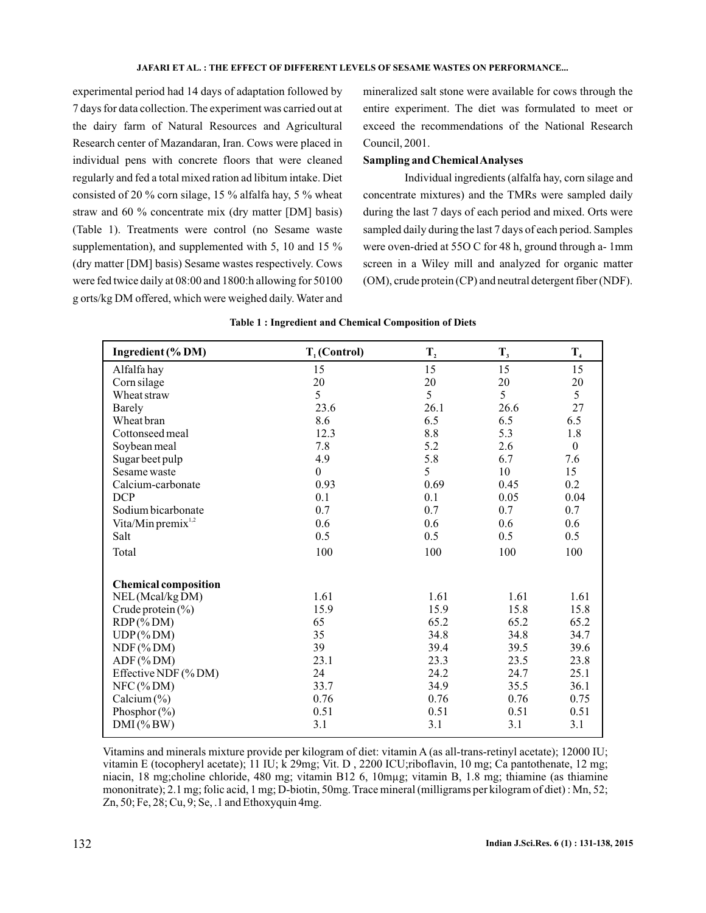#### **JAFARI ET AL. : THE EFFECT OF DIFFERENT LEVELS OF SESAME WASTES ON PERFORMANCE...**

experimental period had 14 days of adaptation followed by 7 days for data collection. The experiment was carried out at the dairy farm of Natural Resources and Agricultural Research center of Mazandaran, Iran. Cows were placed in individual pens with concrete floors that were cleaned regularly and fed a total mixed ration ad libitum intake. Diet consisted of 20 % corn silage, 15 % alfalfa hay, 5 % wheat straw and 60 % concentrate mix (dry matter [DM] basis) (Table 1). Treatments were control (no Sesame waste supplementation), and supplemented with 5, 10 and 15 % (dry matter [DM] basis) Sesame wastes respectively. Cows were fed twice daily at 08:00 and 1800:h allowing for 50100 g orts/kg DM offered, which were weighed daily. Water and mineralized salt stone were available for cows through the entire experiment. The diet was formulated to meet or exceed the recommendations of the National Research Council, 2001.

### **Sampling and ChemicalAnalyses**

Individual ingredients (alfalfa hay, corn silage and concentrate mixtures) and the TMRs were sampled daily during the last 7 days of each period and mixed. Orts were sampled daily during the last 7 days of each period. Samples were oven-dried at 55O C for 48 h, ground through a- 1mm screen in a Wiley mill and analyzed for organic matter (OM), crude protein (CP) and neutral detergent fiber (NDF).

| <b>Table 1: Ingredient and Chemical Composition of Diets</b> |
|--------------------------------------------------------------|
|                                                              |

| Ingredient (% DM)              | $T_1$ (Control)  | $\mathbf{T}_2$ | $\mathbf{T}_3$ | $T_{4}$          |
|--------------------------------|------------------|----------------|----------------|------------------|
| Alfalfa hay                    | 15               | 15             | 15             | 15               |
| Corn silage                    | 20               | 20             | 20             | 20               |
| Wheat straw                    | 5                | 5              | 5              | 5                |
| Barely                         | 23.6             | 26.1           | 26.6           | 27               |
| Wheat bran                     | 8.6              | 6.5            | 6.5            | 6.5              |
| Cottonseed meal                | 12.3             | $8.8\,$        | 5.3            | 1.8              |
| Soybean meal                   | 7.8              | 5.2            | 2.6            | $\boldsymbol{0}$ |
| Sugar beet pulp                | 4.9              | 5.8            | 6.7            | 7.6              |
| Sesame waste                   | $\boldsymbol{0}$ | 5              | 10             | 15               |
| Calcium-carbonate              | 0.93             | 0.69           | 0.45           | 0.2              |
| <b>DCP</b>                     | 0.1              | 0.1            | 0.05           | 0.04             |
| Sodium bicarbonate             | 0.7              | 0.7            | 0.7            | 0.7              |
| Vita/Min premix <sup>1,2</sup> | 0.6              | 0.6            | 0.6            | 0.6              |
| Salt                           | 0.5              | 0.5            | 0.5            | 0.5              |
| Total                          | 100              | 100            | 100            | 100              |
| <b>Chemical composition</b>    |                  |                |                |                  |
| NEL (Mcal/kg DM)               | 1.61             | 1.61           | 1.61           | 1.61             |
| Crude protein $(\% )$          | 15.9             | 15.9           | 15.8           | 15.8             |
| $RDP$ (% DM)                   | 65               | 65.2           | 65.2           | 65.2             |
| $UDP$ (% DM)                   | 35               | 34.8           | 34.8           | 34.7             |
| $NDF$ (%DM)                    | 39               | 39.4           | 39.5           | 39.6             |
| $ADF$ (%DM)                    | 23.1             | 23.3           | 23.5           | 23.8             |
| Effective NDF (% DM)           | 24               | 24.2           | 24.7           | 25.1             |
| $NFC$ (% DM)                   | 33.7             | 34.9           | 35.5           | 36.1             |
| Calcium $(\%)$                 | 0.76             | 0.76           | 0.76           | 0.75             |
| Phosphor $(\% )$               | 0.51             | 0.51           | 0.51           | 0.51             |
| $DMI$ (% BW)                   | 3.1              | 3.1            | 3.1            | 3.1              |

Vitamins and minerals mixture provide per kilogram of diet: vitamin A (as all-trans-retinyl acetate); 12000 IU; vitamin E (tocopheryl acetate); 11 IU; k 29mg; Vit. D , 2200 ICU;riboflavin, 10 mg; Ca pantothenate, 12 mg; niacin, 18 mg;choline chloride, 480 mg; vitamin B12 6, 10mµg; vitamin B, 1.8 mg; thiamine (as thiamine mononitrate); 2.1 mg; folic acid, 1 mg; D-biotin, 50mg. Trace mineral (milligrams per kilogram of diet) : Mn, 52; Zn, 50; Fe, 28; Cu, 9; Se, .1 and Ethoxyquin 4mg.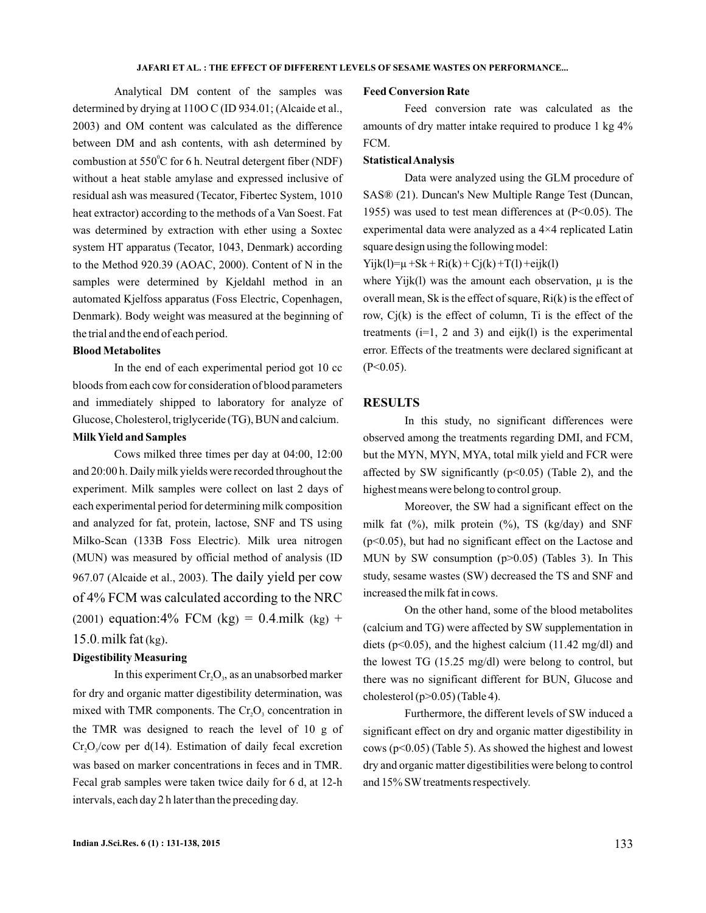Analytical DM content of the samples was determined by drying at 110O C (ID 934.01; (Alcaide et al., 2003) and OM content was calculated as the difference between DM and ash contents, with ash determined by combustion at  $550^{\circ}$ C for 6 h. Neutral detergent fiber (NDF) without a heat stable amylase and expressed inclusive of residual ash was measured (Tecator, Fibertec System, 1010 heat extractor) according to the methods of a Van Soest. Fat was determined by extraction with ether using a Soxtec system HT apparatus (Tecator, 1043, Denmark) according to the Method 920.39 (AOAC, 2000). Content of N in the samples were determined by Kjeldahl method in an automated Kjelfoss apparatus (Foss Electric, Copenhagen, Denmark). Body weight was measured at the beginning of the trial and the end of each period.

### **BloodMetabolites**

In the end of each experimental period got 10 cc bloods from each cow for consideration of blood parameters and immediately shipped to laboratory for analyze of Glucose, Cholesterol, triglyceride (TG), BUN and calcium.

## **MilkYield and Samples**

Cows milked three times per day at 04:00, 12:00 and 20:00 h. Daily milk yields were recorded throughout the experiment. Milk samples were collect on last 2 days of each experimental period for determining milk composition and analyzed for fat, protein, lactose, SNF and TS using Milko-Scan (133B Foss Electric). Milk urea nitrogen (MUN) was measured by official method of analysis (ID 967.07 (Alcaide et al., 2003). The daily yield per cow (2001) equation:4% FCM (kg) = 0.4 milk (kg) +  $15.0$ . milk fat  $(kg)$ . of 4% FCM was calculated according to the NRC

#### **DigestibilityMeasuring**

In this experiment  $Cr_2O_3$ , as an unabsorbed marker for dry and organic matter digestibility determination, was mixed with TMR components. The  $Cr_2O_3$  concentration in the TMR was designed to reach the level of 10 g of  $Cr_2O_3$ /cow per d(14). Estimation of daily fecal excretion was based on marker concentrations in feces and in TMR. Fecal grab samples were taken twice daily for 6 d, at 12-h intervals, each day 2 h later than the preceding day.

#### **Feed Conversion Rate**

Feed conversion rate was calculated as the amounts of dry matter intake required to produce 1 kg 4% FCM.

### **StatisticalAnalysis**

Data were analyzed using the GLM procedure of SAS® (21). Duncan's New Multiple Range Test (Duncan, 1955) was used to test mean differences at  $(P<0.05)$ . The experimental data were analyzed as a 4×4 replicated Latin square design using the following model:

 $Yijk(l)=\mu +Sk+Ri(k)+Cj(k)+T(l)+eijk(l)$ 

where  $Yijk(1)$  was the amount each observation,  $\mu$  is the overall mean, Sk is the effect of square, Ri(k) is the effect of row, Cj(k) is the effect of column, Ti is the effect of the treatments  $(i=1, 2 \text{ and } 3)$  and  $eijk(l)$  is the experimental error. Effects of the treatments were declared significant at  $(P<0.05)$ .

### **RESULTS**

In this study, no significant differences were observed among the treatments regarding DMI, and FCM, but the MYN, MYN, MYA, total milk yield and FCR were affected by SW significantly  $(p<0.05)$  (Table 2), and the highest means were belong to control group.

Moreover, the SW had a significant effect on the milk fat (%), milk protein (%), TS (kg/day) and SNF (p<0.05), but had no significant effect on the Lactose and MUN by SW consumption  $(p>0.05)$  (Tables 3). In This study, sesame wastes (SW) decreased the TS and SNF and increased the milk fat in cows.

On the other hand, some of the blood metabolites (calcium and TG) were affected by SW supplementation in diets ( $p<0.05$ ), and the highest calcium (11.42 mg/dl) and the lowest TG (15.25 mg/dl) were belong to control, but there was no significant different for BUN, Glucose and cholesterol ( $p > 0.05$ ) (Table 4).

Furthermore, the different levels of SW induced a significant effect on dry and organic matter digestibility in cows (p<0.05) (Table 5). As showed the highest and lowest dry and organic matter digestibilities were belong to control and 15% SWtreatments respectively.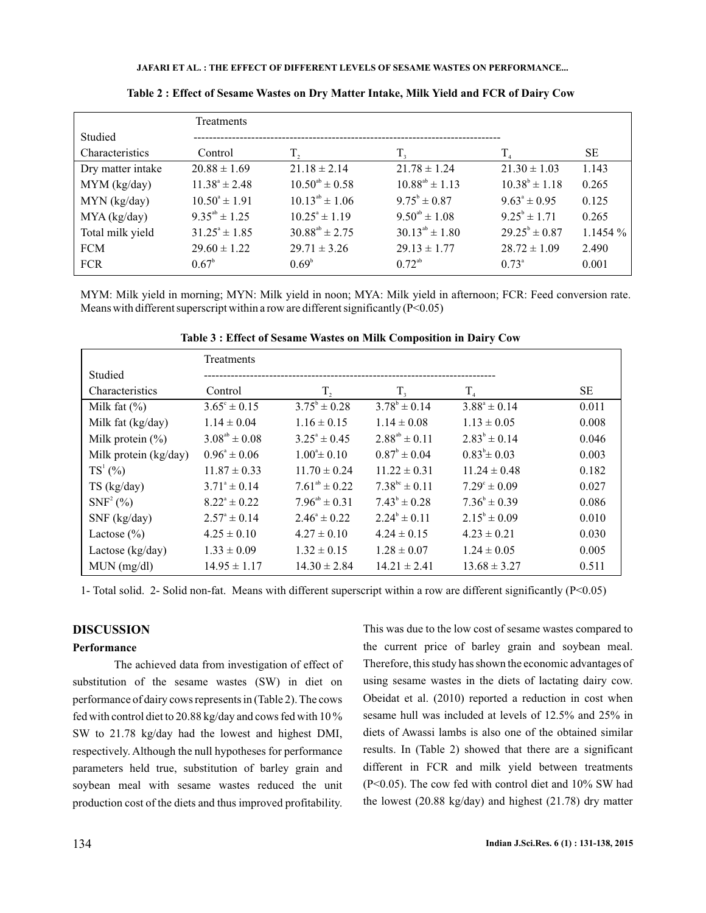**JAFARI ET AL. : THE EFFECT OF DIFFERENT LEVELS OF SESAME WASTES ON PERFORMANCE...**

|                   | <b>Treatments</b>        |                          |                         |                          |            |
|-------------------|--------------------------|--------------------------|-------------------------|--------------------------|------------|
| Studied           |                          |                          |                         |                          |            |
| Characteristics   | Control                  | T,                       | T,                      | $T_{\rm a}$              | <b>SE</b>  |
| Dry matter intake | $20.88 \pm 1.69$         | $21.18 \pm 2.14$         | $21.78 \pm 1.24$        | $21.30 \pm 1.03$         | 1.143      |
| MYM (kg/day)      | $11.38^{\circ} \pm 2.48$ | $10.50^{ab} \pm 0.58$    | $10.88^{ab} \pm 1.13$   | $10.38^b \pm 1.18$       | 0.265      |
| $MYN$ (kg/day)    | $10.50^{\circ} \pm 1.91$ | $10.13^{ab} \pm 1.06$    | $9.75^{\rm b} \pm 0.87$ | $9.63^{\circ} \pm 0.95$  | 0.125      |
| MYA (kg/day)      | $9.35^{ab} \pm 1.25$     | $10.25^{\circ} \pm 1.19$ | $9.50^{ab} \pm 1.08$    | $9.25^{\circ} \pm 1.71$  | 0.265      |
| Total milk yield  | $31.25^{\circ} \pm 1.85$ | $30.88^{ab} \pm 2.75$    | $30.13^{ab} \pm 1.80$   | $29.25^{\circ} \pm 0.87$ | $1.1454\%$ |
| <b>FCM</b>        | $29.60 \pm 1.22$         | $29.71 \pm 3.26$         | $29.13 \pm 1.77$        | $28.72 \pm 1.09$         | 2.490      |
| <b>FCR</b>        | $0.67^{\circ}$           | $0.69^{\circ}$           | $0.72^{ab}$             | $0.73^{\circ}$           | 0.001      |

**Table 2 : Effect of Sesame Wastes on Dry Matter Intake, Milk Yield and FCR of Dairy Cow**

MYM: Milk yield in morning; MYN: Milk yield in noon; MYA: Milk yield in afternoon; FCR: Feed conversion rate. Means with different superscript within a row are different significantly (P<0.05)

|                       | Treatments              |                             |                         |                            |       |
|-----------------------|-------------------------|-----------------------------|-------------------------|----------------------------|-------|
| Studied               |                         |                             |                         |                            |       |
| Characteristics       | Control                 | T,                          | $T_{\rm a}$             | $T_{\scriptscriptstyle A}$ | SЕ    |
| Milk fat $(\% )$      | $3.65^{\circ} \pm 0.15$ | $3.75^{\circ} \pm 0.28$     | $3.78^{\rm b} \pm 0.14$ | $3.88^{\circ} \pm 0.14$    | 0.011 |
| Milk fat (kg/day)     | $1.14 \pm 0.04$         | $1.16 \pm 0.15$             | $1.14 \pm 0.08$         | $1.13 \pm 0.05$            | 0.008 |
| Milk protein $(\% )$  | $3.08^{ab} \pm 0.08$    | $3.25^{\circ} \pm 0.45$     | $2.88^{ab} \pm 0.11$    | $2.83^{\circ} \pm 0.14$    | 0.046 |
| Milk protein (kg/day) | $0.96^{\circ} \pm 0.06$ | $1.00^{\circ} \pm 0.10$     | $0.87^{\circ} \pm 0.04$ | $0.83^{\circ} \pm 0.03$    | 0.003 |
| $TS^1(%)$             | $11.87 \pm 0.33$        | $11.70 \pm 0.24$            | $11.22 \pm 0.31$        | $11.24 \pm 0.48$           | 0.182 |
| $TS$ (kg/day)         | $3.71^{\circ} \pm 0.14$ | $7.61^{ab} \pm 0.22$        | $7.38^{bc} \pm 0.11$    | $7.29^{\circ} \pm 0.09$    | 0.027 |
| $SNF^2$ (%)           | $8.22^{\circ} \pm 0.22$ | $7.96^{\text{ab}} \pm 0.31$ | $7.43^{\circ} \pm 0.28$ | $7.36^{\circ} \pm 0.39$    | 0.086 |
| SNF (kg/day)          | $2.57^{\circ} \pm 0.14$ | $2.46^{\circ} \pm 0.22$     | $2.24^{\circ} \pm 0.11$ | $2.15^{\circ} \pm 0.09$    | 0.010 |
| Lactose $(\% )$       | $4.25 \pm 0.10$         | $4.27 \pm 0.10$             | $4.24 \pm 0.15$         | $4.23 \pm 0.21$            | 0.030 |
| Lactose (kg/day)      | $1.33 \pm 0.09$         | $1.32 \pm 0.15$             | $1.28 \pm 0.07$         | $1.24 \pm 0.05$            | 0.005 |
| $MUN$ (mg/dl)         | $14.95 \pm 1.17$        | $14.30 \pm 2.84$            | $14.21 \pm 2.41$        | $13.68 \pm 3.27$           | 0.511 |

**Table 3 : Effect of Sesame Wastes on Milk Composition in Dairy Cow**

1- Total solid. 2- Solid non-fat. Means with different superscript within a row are different significantly (P<0.05)

## **DISCUSSION**

### **Performance**

The achieved data from investigation of effect of substitution of the sesame wastes (SW) in diet on performance of dairy cows represents in (Table 2). The cows fed with control diet to 20.88 kg/day and cows fed with 10 % SW to 21.78 kg/day had the lowest and highest DMI, respectively. Although the null hypotheses for performance parameters held true, substitution of barley grain and soybean meal with sesame wastes reduced the unit production cost of the diets and thus improved profitability.

This was due to the low cost of sesame wastes compared to the current price of barley grain and soybean meal. Therefore, this study has shown the economic advantages of using sesame wastes in the diets of lactating dairy cow. Obeidat et al. (2010) reported a reduction in cost when sesame hull was included at levels of 12.5% and 25% in diets of Awassi lambs is also one of the obtained similar results. In (Table 2) showed that there are a significant different in FCR and milk yield between treatments (P<0.05). The cow fed with control diet and 10% SW had the lowest (20.88 kg/day) and highest (21.78) dry matter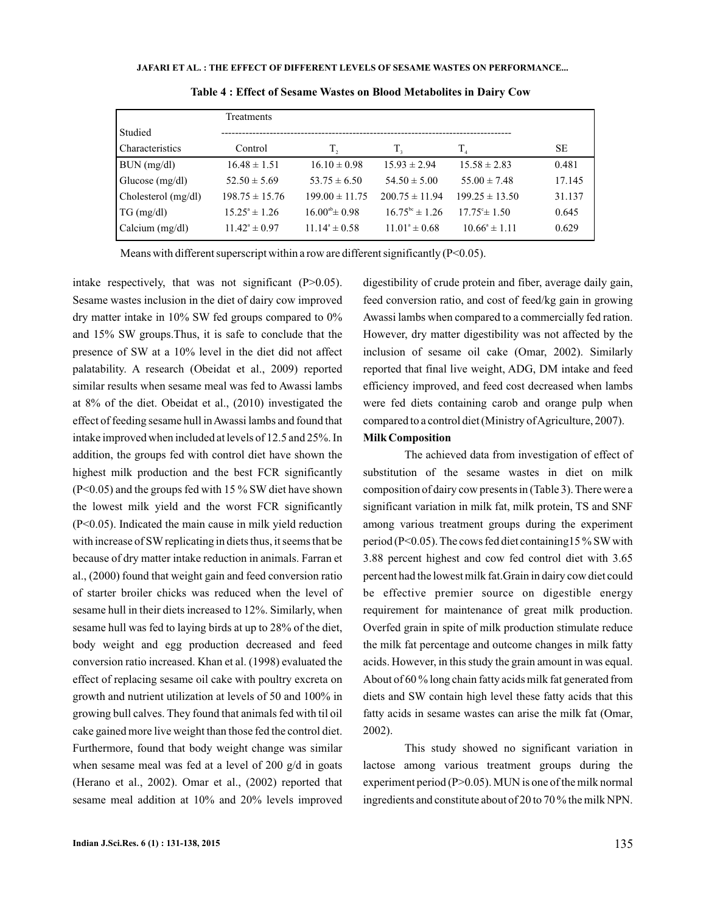|                     | Treatments               |                          |                           |                            |        |
|---------------------|--------------------------|--------------------------|---------------------------|----------------------------|--------|
| Studied             |                          |                          |                           |                            |        |
| Characteristics     | Control                  | T,                       | T,                        | $T_{\scriptscriptstyle A}$ | SЕ     |
| BUN (mg/dl)         | $16.48 \pm 1.51$         | $16.10 \pm 0.98$         | $15.93 \pm 2.94$          | $15.58 \pm 2.83$           | 0.481  |
| Glucose $(mg/dl)$   | $52.50 \pm 5.69$         | $53.75 \pm 6.50$         | $54.50 \pm 5.00$          | $55.00 \pm 7.48$           | 17.145 |
| Cholesterol (mg/dl) | $198.75 \pm 15.76$       | $199.00 \pm 11.75$       | $200.75 \pm 11.94$        | $199.25 \pm 13.50$         | 31.137 |
| $TG \, (mg/dl)$     | $15.25^{\circ} \pm 1.26$ | $16.00^{ab}$ ± 0.98      | $16.75^{\rm bc} \pm 1.26$ | $17.75^{\circ}$ ± 1.50     | 0.645  |
| Calcium (mg/dl)     | $11.42^{\circ} \pm 0.97$ | $11.14^{\circ} \pm 0.58$ | $11.01^{\circ} \pm 0.68$  | $10.66^{\circ} \pm 1.11$   | 0.629  |

**Table 4 : Effect of Sesame Wastes on Blood Metabolites in Dairy Cow**

Means with different superscript within a row are different significantly (P<0.05).

intake respectively, that was not significant  $(P>0.05)$ . Sesame wastes inclusion in the diet of dairy cow improved dry matter intake in 10% SW fed groups compared to 0% and 15% SW groups.Thus, it is safe to conclude that the presence of SW at a 10% level in the diet did not affect palatability. A research (Obeidat et al., 2009) reported similar results when sesame meal was fed to Awassi lambs at 8% of the diet. Obeidat et al., (2010) investigated the effect of feeding sesame hull inAwassi lambs and found that intake improved when included at levels of 12.5 and 25%. In addition, the groups fed with control diet have shown the highest milk production and the best FCR significantly (P<0.05) and the groups fed with 15 % SW diet have shown the lowest milk yield and the worst FCR significantly (P<0.05). Indicated the main cause in milk yield reduction with increase of SW replicating in diets thus, it seems that be because of dry matter intake reduction in animals. Farran et al., (2000) found that weight gain and feed conversion ratio of starter broiler chicks was reduced when the level of sesame hull in their diets increased to 12%. Similarly, when sesame hull was fed to laying birds at up to 28% of the diet, body weight and egg production decreased and feed conversion ratio increased. Khan et al. (1998) evaluated the effect of replacing sesame oil cake with poultry excreta on growth and nutrient utilization at levels of 50 and 100% in growing bull calves. They found that animals fed with til oil cake gained more live weight than those fed the control diet. Furthermore, found that body weight change was similar when sesame meal was fed at a level of 200 g/d in goats (Herano et al., 2002). Omar et al., (2002) reported that sesame meal addition at 10% and 20% levels improved

digestibility of crude protein and fiber, average daily gain, feed conversion ratio, and cost of feed/kg gain in growing Awassi lambs when compared to a commercially fed ration. However, dry matter digestibility was not affected by the inclusion of sesame oil cake (Omar, 2002). Similarly reported that final live weight, ADG, DM intake and feed efficiency improved, and feed cost decreased when lambs were fed diets containing carob and orange pulp when compared to a control diet (Ministry of Agriculture, 2007).

### **Milk Composition**

The achieved data from investigation of effect of substitution of the sesame wastes in diet on milk composition of dairy cow presents in (Table 3). There were a significant variation in milk fat, milk protein, TS and SNF among various treatment groups during the experiment period (P<0.05). The cows fed diet containing15 % SW with 3.88 percent highest and cow fed control diet with 3.65 percent had the lowest milk fat.Grain in dairy cow diet could be effective premier source on digestible energy requirement for maintenance of great milk production. Overfed grain in spite of milk production stimulate reduce the milk fat percentage and outcome changes in milk fatty acids. However, in this study the grain amount in was equal. About of 60 % long chain fatty acids milk fat generated from diets and SW contain high level these fatty acids that this fatty acids in sesame wastes can arise the milk fat (Omar, 2002).

This study showed no significant variation in lactose among various treatment groups during the experiment period (P>0.05). MUN is one of the milk normal ingredients and constitute about of 20 to 70 % the milk NPN.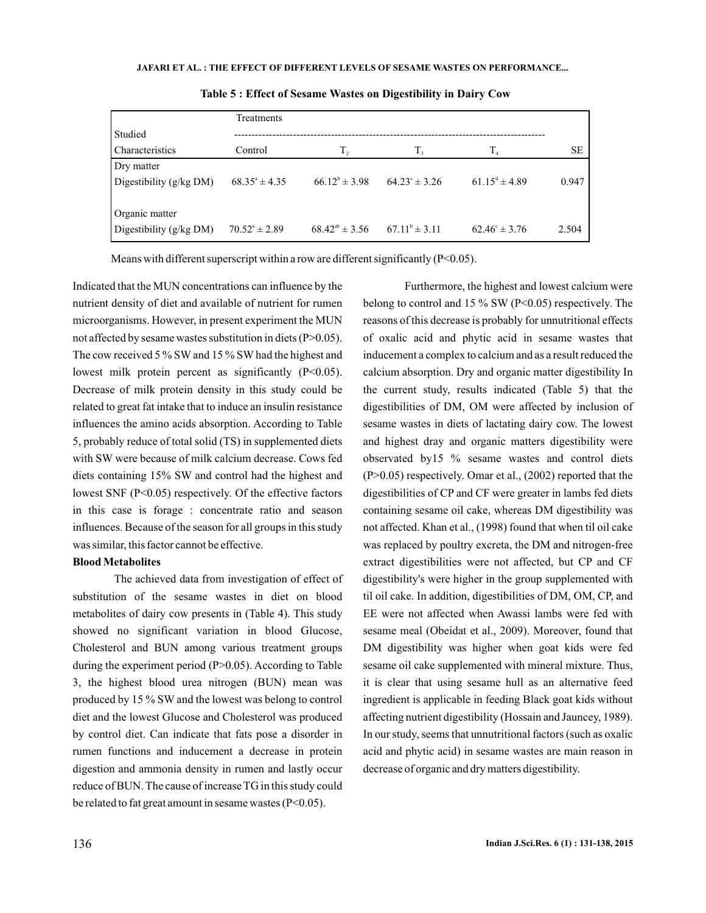|                           | Treatments               |                       |                          |                             |           |
|---------------------------|--------------------------|-----------------------|--------------------------|-----------------------------|-----------|
| Studied                   |                          |                       |                          |                             |           |
| Characteristics           | Control                  | T,                    | T,                       | T <sub>4</sub>              | <b>SE</b> |
| Dry matter                |                          |                       |                          |                             |           |
| Digestibility $(g/kg DM)$ | $68.35^{\circ} \pm 4.35$ | $66.12^b \pm 3.98$    | $64.23^{\circ} \pm 3.26$ | $61.15^{\text{d}} \pm 4.89$ | 0.947     |
|                           |                          |                       |                          |                             |           |
| Organic matter            |                          |                       |                          |                             |           |
| Digestibility (g/kg DM)   | $70.52^{\circ} \pm 2.89$ | $68.42^{ab} \pm 3.56$ | $67.11^{\circ} \pm 3.11$ | $62.46^{\circ} \pm 3.76$    | 2.504     |

**Table 5 : Effect of Sesame Wastes on Digestibility in Dairy Cow**

Means with different superscript within a row are different significantly (P<0.05).

Indicated that the MUN concentrations can influence by the nutrient density of diet and available of nutrient for rumen microorganisms. However, in present experiment the MUN not affected by sesame wastes substitution in diets (P>0.05). The cow received 5 % SW and 15 % SW had the highest and lowest milk protein percent as significantly (P<0.05). Decrease of milk protein density in this study could be related to great fat intake that to induce an insulin resistance influences the amino acids absorption. According to Table 5, probably reduce of total solid (TS) in supplemented diets with SW were because of milk calcium decrease. Cows fed diets containing 15% SW and control had the highest and lowest SNF (P<0.05) respectively. Of the effective factors in this case is forage : concentrate ratio and season influences. Because of the season for all groups in this study was similar, this factor cannot be effective.

#### **BloodMetabolites**

The achieved data from investigation of effect of substitution of the sesame wastes in diet on blood metabolites of dairy cow presents in (Table 4). This study showed no significant variation in blood Glucose, Cholesterol and BUN among various treatment groups during the experiment period (P>0.05). According to Table 3, the highest blood urea nitrogen (BUN) mean was produced by 15 % SW and the lowest was belong to control diet and the lowest Glucose and Cholesterol was produced by control diet. Can indicate that fats pose a disorder in rumen functions and inducement a decrease in protein digestion and ammonia density in rumen and lastly occur reduce of BUN. The cause of increase TG in this study could be related to fat great amount in sesame wastes (P<0.05).

Furthermore, the highest and lowest calcium were belong to control and 15 % SW (P<0.05) respectively. The reasons of this decrease is probably for unnutritional effects of oxalic acid and phytic acid in sesame wastes that inducement a complex to calcium and as a result reduced the calcium absorption. Dry and organic matter digestibility In the current study, results indicated (Table 5) that the digestibilities of DM, OM were affected by inclusion of sesame wastes in diets of lactating dairy cow. The lowest and highest dray and organic matters digestibility were observated by15 % sesame wastes and control diets (P>0.05) respectively. Omar et al., (2002) reported that the digestibilities of CP and CF were greater in lambs fed diets containing sesame oil cake, whereas DM digestibility was not affected. Khan et al., (1998) found that when til oil cake was replaced by poultry excreta, the DM and nitrogen-free extract digestibilities were not affected, but CP and CF digestibility's were higher in the group supplemented with til oil cake. In addition, digestibilities of DM, OM, CP, and EE were not affected when Awassi lambs were fed with sesame meal (Obeidat et al., 2009). Moreover, found that DM digestibility was higher when goat kids were fed sesame oil cake supplemented with mineral mixture. Thus, it is clear that using sesame hull as an alternative feed ingredient is applicable in feeding Black goat kids without affecting nutrient digestibility (Hossain and Jauncey, 1989). In our study, seems that unnutritional factors (such as oxalic acid and phytic acid) in sesame wastes are main reason in decrease of organic and dry matters digestibility.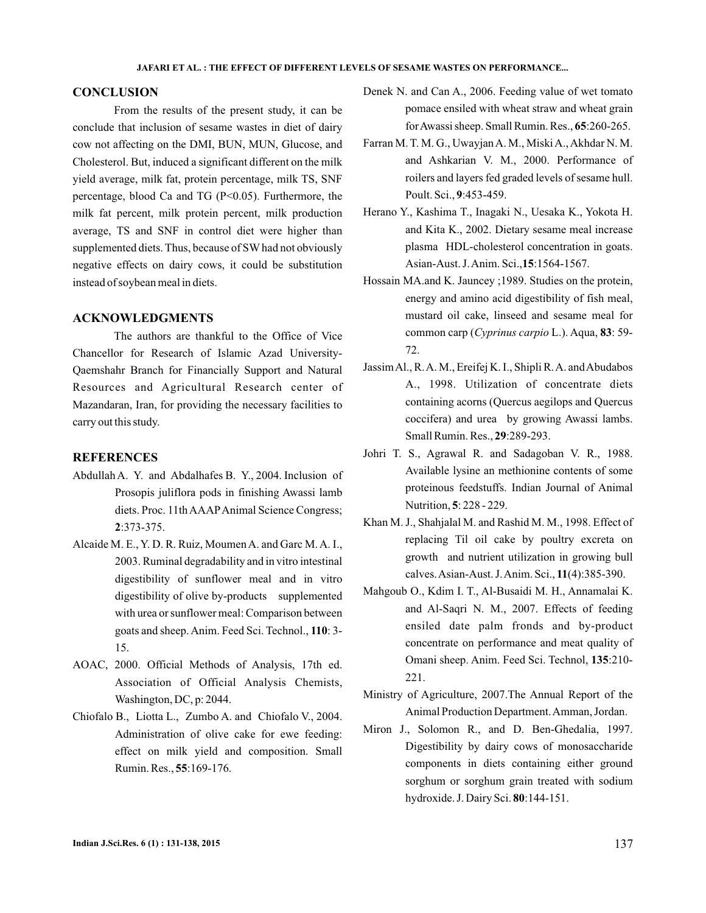## **CONCLUSION**

conclude that inclusion of sesame wastes in diet of dairy cow not affecting on the DMI, BUN, MUN, Glucose, and Cholesterol. But, induced a significant different on the milk yield average, milk fat, protein percentage, milk TS, SNF percentage, blood Ca and TG (P<0.05). Furthermore, the milk fat percent, milk protein percent, milk production average, TS and SNF in control diet were higher than supplemented diets. Thus, because of SW had not obviously negative effects on dairy cows, it could be substitution instead of soybean meal in diets. From the results of the present study, it can be

## **ACKNOWLEDGMENTS**

The authors are thankful to the Office of Vice Chancellor for Research of Islamic Azad University-Qaemshahr Branch for Financially Support and Natural Resources and Agricultural Research center of Mazandaran, Iran, for providing the necessary facilities to carry out this study.

## **REFERENCES**

- Abdullah A. Y. and Abdalhafes B. Y., 2004. Inclusion of Prosopis juliflora pods in finishing Awassi lamb diets. Proc. 11th AAAPAnimal Science Congress; :373-375. **2**
- Alcaide M. E., Y. D. R. Ruiz, Moumen A. and Garc M. A. I., 2003. Ruminal degradability and in vitro intestinal digestibility of sunflower meal and in vitro digestibility of olive by-products supplemented with urea or sunflower meal: Comparison between goats and sheep. Anim. Feed Sci. Technol., 110: 3-15.
- AOAC, 2000. Official Methods of Analysis, 17th ed. Association of Official Analysis Chemists, Washington, DC, p: 2044.
- Chiofalo B., Liotta L., Zumbo A. and Chiofalo V., 2004. Administration of olive cake for ewe feeding: effect on milk yield and composition. Small Rumin. Res., **55**:169-176.
- Denek N. and Can A., 2006. Feeding value of wet tomato pomace ensiled with wheat straw and wheat grain for Awassi sheep. Small Rumin. Res., 65:260-265.
- Farran M. T. M. G., UwayjanA. M., MiskiA.,Akhdar N. M. and Ashkarian V. M., 2000. Performance of roilers and layers fed graded levels of sesame hull. Poult. Sci., 9:453-459.
- Herano Y., Kashima T., Inagaki N., Uesaka K., Yokota H. and Kita K., 2002. Dietary sesame meal increase plasma HDL-cholesterol concentration in goats. Asian-Aust. J. Anim. Sci., 15:1564-1567.
- Hossain MA.and K. Jauncey ;1989. Studies on the protein, energy and amino acid digestibility of fish meal, mustard oil cake, linseed and sesame meal for common carp (Cyprinus carpio L.). Aqua, 83: 59-72.
- Jassim Al., R.A. M., Ereifej K.I., Shipli R.A. and Abudabos A., 1998. Utilization of concentrate diets containing acorns (Quercus aegilops and Quercus coccifera) and urea by growing Awassi lambs. Small Rumin. Res., 29:289-293.
- Johri T. S., Agrawal R. and Sadagoban V. R., 1988. Available lysine an methionine contents of some proteinous feedstuffs. Indian Journal of Animal Nutrition, 5: 228 - 229.
- Khan M. J., Shahjalal M. and Rashid M. M., 1998. Effect of replacing Til oil cake by poultry excreta on growth and nutrient utilization in growing bull calves.Asian-Aust. J.Anim. Sci., (4):385-390. **11**
- Mahgoub O., Kdim I. T., Al-Busaidi M. H., Annamalai K. and Al-Saqri N. M., 2007. Effects of feeding ensiled date palm fronds and by-product concentrate on performance and meat quality of Omani sheep. Anim. Feed Sci. Technol, 135:210-221.
- Ministry of Agriculture, 2007.The Annual Report of the Animal Production Department.Amman, Jordan.
- Miron J., Solomon R., and D. Ben-Ghedalia, 1997. Digestibility by dairy cows of monosaccharide components in diets containing either ground sorghum or sorghum grain treated with sodium hydroxide. J. Dairy Sci. 80:144-151.